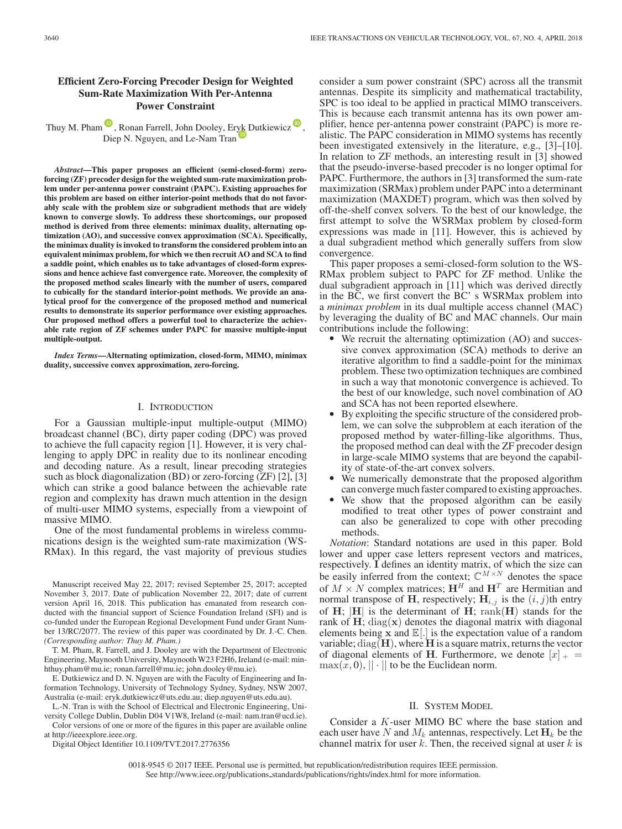# **Efficient Zero-Forcing Precoder Design for Weighted Sum-Rate Maximization With Per-Antenna Power Constraint**

Thuy M. Pham  $\bullet$ [,](https://orcid.org/0000-0002-4268-9286) Ronan Farrell, John Dooley, Er[yk D](https://orcid.org/0000-0002-9317-9980)utkiewicz  $\bullet$ , Diep N. Nguyen, and Le-Nam Tran

*Abstract***—This paper proposes an efficient (semi-closed-form) zeroforcing (ZF) precoder design for the weighted sum-rate maximization problem under per-antenna power constraint (PAPC). Existing approaches for this problem are based on either interior-point methods that do not favorably scale with the problem size or subgradient methods that are widely known to converge slowly. To address these shortcomings, our proposed method is derived from three elements: minimax duality, alternating optimization (AO), and successive convex approximation (SCA). Specifically, the minimax duality is invoked to transform the considered problem into an equivalent minimax problem, for which we then recruit AO and SCA to find a saddle point, which enables us to take advantages of closed-form expressions and hence achieve fast convergence rate. Moreover, the complexity of the proposed method scales linearly with the number of users, compared to cubically for the standard interior-point methods. We provide an analytical proof for the convergence of the proposed method and numerical results to demonstrate its superior performance over existing approaches. Our proposed method offers a powerful tool to characterize the achievable rate region of ZF schemes under PAPC for massive multiple-input multiple-output.**

*Index Terms***—Alternating optimization, closed-form, MIMO, minimax duality, successive convex approximation, zero-forcing.**

## I. INTRODUCTION

For a Gaussian multiple-input multiple-output (MIMO) broadcast channel (BC), dirty paper coding (DPC) was proved to achieve the full capacity region [1]. However, it is very challenging to apply DPC in reality due to its nonlinear encoding and decoding nature. As a result, linear precoding strategies such as block diagonalization (BD) or zero-forcing (ZF) [2], [3] which can strike a good balance between the achievable rate region and complexity has drawn much attention in the design of multi-user MIMO systems, especially from a viewpoint of massive MIMO.

One of the most fundamental problems in wireless communications design is the weighted sum-rate maximization (WS-RMax). In this regard, the vast majority of previous studies

Manuscript received May 22, 2017; revised September 25, 2017; accepted November 3, 2017. Date of publication November 22, 2017; date of current version April 16, 2018. This publication has emanated from research conducted with the financial support of Science Foundation Ireland (SFI) and is co-funded under the European Regional Development Fund under Grant Number 13/RC/2077. The review of this paper was coordinated by Dr. J.-C. Chen. *(Corresponding author: Thuy M. Pham.)*

T. M. Pham, R. Farrell, and J. Dooley are with the Department of Electronic Engineering, Maynooth University, Maynooth W23 F2H6, Ireland (e-mail: minhthuy.pham@mu.ie; ronan.farrell@mu.ie; john.dooley@mu.ie).

E. Dutkiewicz and D. N. Nguyen are with the Faculty of Engineering and Information Technology, University of Technology Sydney, Sydney, NSW 2007, Australia (e-mail: eryk.dutkiewicz@uts.edu.au; diep.nguyen@uts.edu.au).

L.-N. Tran is with the School of Electrical and Electronic Engineering, University College Dublin, Dublin D04 V1W8, Ireland (e-mail: nam.tran@ucd.ie).

Color versions of one or more of the figures in this paper are available online at http://ieeexplore.ieee.org.

Digital Object Identifier 10.1109/TVT.2017.2776356

consider a sum power constraint (SPC) across all the transmit antennas. Despite its simplicity and mathematical tractability, SPC is too ideal to be applied in practical MIMO transceivers. This is because each transmit antenna has its own power amplifier, hence per-antenna power constraint (PAPC) is more realistic. The PAPC consideration in MIMO systems has recently been investigated extensively in the literature, e.g., [3]–[10]. In relation to ZF methods, an interesting result in [3] showed that the pseudo-inverse-based precoder is no longer optimal for PAPC. Furthermore, the authors in [3] transformed the sum-rate maximization (SRMax) problem under PAPC into a determinant maximization (MAXDET) program, which was then solved by off-the-shelf convex solvers. To the best of our knowledge, the first attempt to solve the WSRMax problem by closed-form expressions was made in [11]. However, this is achieved by a dual subgradient method which generally suffers from slow convergence.

This paper proposes a semi-closed-form solution to the WS-RMax problem subject to PAPC for ZF method. Unlike the dual subgradient approach in [11] which was derived directly in the BC, we first convert the BC' s WSRMax problem into a *minimax problem* in its dual multiple access channel (MAC) by leveraging the duality of BC and MAC channels. Our main contributions include the following:

- We recruit the alternating optimization (AO) and successive convex approximation (SCA) methods to derive an iterative algorithm to find a saddle-point for the minimax problem. These two optimization techniques are combined in such a way that monotonic convergence is achieved. To the best of our knowledge, such novel combination of AO and SCA has not been reported elsewhere.<br>• By exploiting the specific structure of the considered prob-
- lem, we can solve the subproblem at each iteration of the proposed method by water-filling-like algorithms. Thus, the proposed method can deal with the ZF precoder design in large-scale MIMO systems that are beyond the capabil-
- ity of state-of-the-art convex solvers.<br>• We numerically demonstrate that the proposed algorithm
- can converge much faster compared to existing approaches. We show that the proposed algorithm can be easily modified to treat other types of power constraint and can also be generalized to cope with other precoding methods.

*Notation*: Standard notations are used in this paper. Bold lower and upper case letters represent vectors and matrices, respectively. **I** defines an identity matrix, of which the size can be easily inferred from the context;  $\mathbb{C}^{M \times N}$  denotes the space of  $M \times N$  complex matrices;  $H^H$  and  $H^T$  are Hermitian and normal transpose of **H**, respectively;  $H_{i,j}$  is the  $(i, j)$ th entry of **H**;  $|H|$  is the determinant of **H**; rank(**H**) stands for the of **H**;  $|H|$  is the determinant of **H**; rank(**H**) stands for the rank of **H**; diag(**x**) denotes the diagonal matrix with diagonal rank of **H**; diag( $\mathbf{x}$ ) denotes the diagonal matrix with diagonal elements being  $\mathbf{x}$  and  $\mathbb{E}[.]$  is the expectation value of a random elements being  $\hat{\mathbf{x}}$  and  $\mathbb{E}[.]$  is the expectation value of a random variable;  $diag(\mathbf{H})$ , where  $\mathbf{H}$  is a square matrix, returns the vector of diagonal elements of **H**. Furthermore, we denote  $[x]_{+}$  =  $max(x, 0), || \cdot ||$  to be the Euclidean norm.

### II. SYSTEM MODEL

Consider a K-user MIMO BC where the base station and each user have N and  $M_k$  antennas, respectively. Let  $H_k$  be the channel matrix for user  $k$ . Then, the received signal at user  $k$  is

0018-9545 © 2017 IEEE. Personal use is permitted, but republication/redistribution requires IEEE permission. See http://www.ieee.org/publications standards/publications/rights/index.html for more information.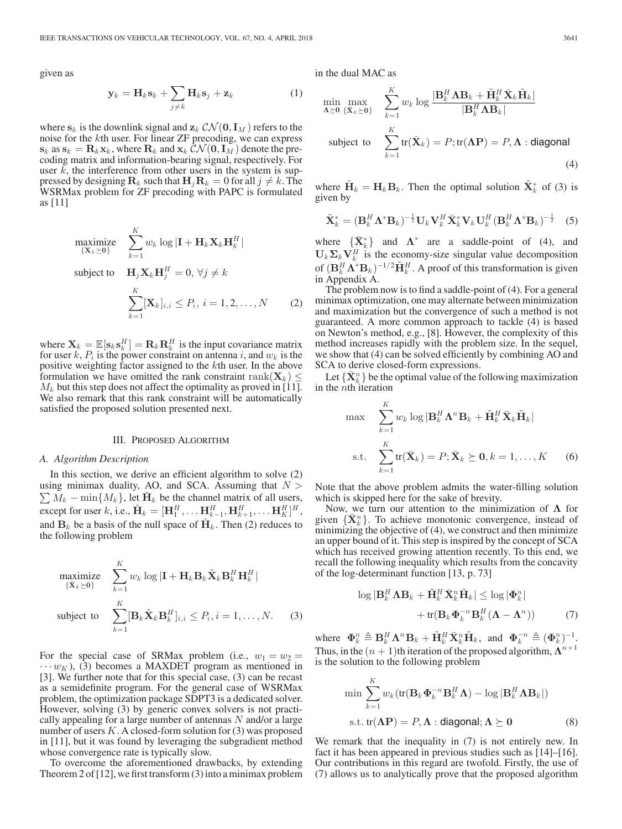given as

$$
\mathbf{y}_k = \mathbf{H}_k \mathbf{s}_k + \sum_{j \neq k} \mathbf{H}_k \mathbf{s}_j + \mathbf{z}_k \tag{1}
$$

where  $\mathbf{s}_k$  is the downlink signal and  $\mathbf{z}_k \mathcal{CN}(\mathbf{0}, \mathbf{I}_M)$  refers to the noise for the kth user. For linear ZF precoding, we can express  $\mathbf{s}_k$  as  $\mathbf{s}_k = \mathbf{R}_k \mathbf{x}_k$ , where  $\mathbf{R}_k$  and  $\mathbf{x}_k \mathcal{CN}(\mathbf{0}, \mathbf{I}_M)$  denote the precoding matrix and information-bearing signal, respectively. For user  $k$ , the interference from other users in the system is suppressed by designing  $\mathbf{R}_k$  such that  $\mathbf{H}_j \mathbf{R}_k = 0$  for all  $j \neq k$ . The WSRMax problem for ZF precoding with PAPC is formulated WSRMax problem for ZF precoding with PAPC is formulated as [11]

$$
\begin{aligned}\n\max_{\{\mathbf{X}_k \succeq \mathbf{0}\}} & \sum_{k=1}^K w_k \log |\mathbf{I} + \mathbf{H}_k \mathbf{X}_k \mathbf{H}_k^H| \\
\text{subject to} & \mathbf{H}_j \mathbf{X}_k \mathbf{H}_j^H = 0, \forall j \neq k \\
& \sum_{k=1}^K [\mathbf{X}_k]_{i,i} \leq P_i, \, i = 1, 2, \dots, N\n\end{aligned} \tag{2}
$$

where  $\mathbf{X}_k = \mathbb{E}[\mathbf{s}_k \mathbf{s}_k^H] = \mathbf{R}_k \mathbf{R}_k^H$  is the input covariance matrix for user k,  $P_i$  is the nower constraint on antenna i, and  $w_k$  is the for user k,  $P_i$  is the power constraint on antenna i, and  $w_k$  is the positive weighting factor assigned to the kth user. In the above formulation we have omitted the rank constraint rank( $\mathbf{X}_k$ )  $\leq$  $M_k$  but this step does not affect the optimality as proved in [11]. We also remark that this rank constraint will be automatically satisfied the proposed solution presented next.

#### III. PROPOSED ALGORITHM

## *A. Algorithm Description*

In this section, we derive an efficient algorithm to solve (2) using minimax duality, AO, and SCA. Assuming that  $N >$  $\sum M_k - \min\{M_k\}$ , let  $\check{H}_k$  be the channel matrix of all users,<br>except for user k i.e.  $\check{H}_k - [H^H H^H H^H]$  $\mathbf{R} = [\mathbf{H}_{1}^{H}, \dots, \mathbf{H}_{k-1}^{H}, \mathbf{H}_{k+1}^{H}, \dots, \mathbf{H}_{K+1}^{H}]^{H}$ ,<br>and  $\mathbf{R}_{n}$  be a basis of the null engag of  $\mathbf{M}_{n}$ . Then (2) reduces to and  $\mathbf{B}_k$  be a basis of the null space of  $\check{\mathbf{H}}_k$ . Then (2) reduces to the following problem

$$
\begin{aligned}\n\text{maximize} & \quad \sum_{k=1}^{K} w_k \log |\mathbf{I} + \mathbf{H}_k \mathbf{B}_k \tilde{\mathbf{X}}_k \mathbf{B}_k^H \mathbf{H}_k^H| \\
\text{subject to} & \quad \sum_{k=1}^{K} [\mathbf{B}_k \tilde{\mathbf{X}}_k \mathbf{B}_k^H]_{i,i} \le P_i, i = 1, \dots, N. \end{aligned} \tag{3}
$$

For the special case of SRMax problem (i.e.,  $w_1 = w_2$ )  $\cdots w_K$ ), (3) becomes a MAXDET program as mentioned in [3]. We further note that for this special case, (3) can be recast as a semidefinite program. For the general case of WSRMax problem, the optimization package SDPT3 is a dedicated solver. However, solving (3) by generic convex solvers is not practically appealing for a large number of antennas  $N$  and/or a large number of users  $K$ . A closed-form solution for  $(3)$  was proposed in [11], but it was found by leveraging the subgradient method whose convergence rate is typically slow.

To overcome the aforementioned drawbacks, by extending Theorem 2 of [12], we first transform (3) into a minimax problem in the dual MAC as

$$
\min_{\mathbf{\Lambda} \succeq \mathbf{0}} \max_{\{\bar{\mathbf{X}}_k \succeq \mathbf{0}\}} \quad \sum_{k=1}^K w_k \log \frac{|\mathbf{B}_k^H \mathbf{\Lambda} \mathbf{B}_k + \tilde{\mathbf{H}}_k^H \bar{\mathbf{X}}_k \tilde{\mathbf{H}}_k|}{|\mathbf{B}_k^H \mathbf{\Lambda} \mathbf{B}_k|}
$$
\n
$$
\text{subject to} \quad \sum_{k=1}^K \text{tr}(\bar{\mathbf{X}}_k) = P; \text{tr}(\mathbf{\Lambda} \mathbf{P}) = P, \mathbf{\Lambda} \text{ : diagonal}
$$
\n
$$
\tag{4}
$$

where  $\tilde{\mathbf{H}}_k = \mathbf{H}_k \mathbf{B}_k$ . Then the optimal solution  $\tilde{\mathbf{X}}_k^*$  of (3) is given by given by

$$
\tilde{\mathbf{X}}_k^* = (\mathbf{B}_k^H \mathbf{\Lambda}^* \mathbf{B}_k)^{-\frac{1}{2}} \mathbf{U}_k \mathbf{V}_k^H \bar{\mathbf{X}}_k^* \mathbf{V}_k \mathbf{U}_k^H (\mathbf{B}_k^H \mathbf{\Lambda}^* \mathbf{B}_k)^{-\frac{1}{2}} \quad (5)
$$

where  $\{\bar{X}_{k}^{*}\}\$  and  $\Lambda^{*}$  are a saddle-point of (4), and  $\Pi$ .  $\Sigma$ ,  $V^{H}$  is the economy-size singular value decomposition  $\mathbf{U}_k \Sigma_k \mathbf{V}_k^H$  is the economy-size singular value decomposition<br>of  $(\mathbf{P}^H \mathbf{A}^* \mathbf{B})^{-1/2} \tilde{\mathbf{H}}^H$ . A proof of this transformation is given of  $(\mathbf{B}_k^H \mathbf{\Lambda}^* \mathbf{B}_k)^{-1/2} \tilde{\mathbf{H}}_k^H$ . A proof of this transformation is given in Appendix A. in Appendix A.

The problem now is to find a saddle-point of (4). For a general minimax optimization, one may alternate between minimization and maximization but the convergence of such a method is not guaranteed. A more common approach to tackle (4) is based on Newton's method, e.g., [8]. However, the complexity of this method increases rapidly with the problem size. In the sequel, we show that (4) can be solved efficiently by combining AO and SCA to derive closed-form expressions.

Let  ${\{\bar{\bf X}_k^n\}}$  be the optimal value of the following maximization<br>the *n*th iteration in the nth iteration

$$
\max_{k=1} \sum_{k=1}^{K} w_k \log |\mathbf{B}_k^H \mathbf{\Lambda}^n \mathbf{B}_k + \tilde{\mathbf{H}}_k^H \bar{\mathbf{X}}_k \tilde{\mathbf{H}}_k|
$$
  
s.t. 
$$
\sum_{k=1}^{K} tr(\bar{\mathbf{X}}_k) = P; \bar{\mathbf{X}}_k \succeq \mathbf{0}, k = 1, ..., K \qquad (6)
$$

Note that the above problem admits the water-filling solution which is skipped here for the sake of brevity.

Now, we turn our attention to the minimization of **Λ** for given  ${\{\overline{\mathbf{X}}_k^n\}}$ . To achieve monotonic convergence, instead of minimizing the objective of (4), we construct and then minimize minimizing the objective of (4), we construct and then minimize an upper bound of it. This step is inspired by the concept of SCA which has received growing attention recently. To this end, we recall the following inequality which results from the concavity of the log-determinant function [13, p. 73]

$$
\log |\mathbf{B}_{k}^{H} \mathbf{\Lambda} \mathbf{B}_{k} + \tilde{\mathbf{H}}_{k}^{H} \bar{\mathbf{X}}_{k}^{n} \tilde{\mathbf{H}}_{k}| \leq \log |\mathbf{\Phi}_{k}^{n}|
$$

$$
+ \text{tr}(\mathbf{B}_{k} \mathbf{\Phi}_{k}^{-n} \mathbf{B}_{k}^{H} (\mathbf{\Lambda} - \mathbf{\Lambda}^{n})) \tag{7}
$$

where  $\Phi_k^n \triangleq \mathbf{B}_k^H \mathbf{\Lambda}^n \mathbf{B}_k + \tilde{\mathbf{H}}_k^H \bar{\mathbf{X}}_k^n \tilde{\mathbf{H}}_k$ , and  $\Phi_k^{-n} \triangleq (\Phi_k^n)^{-1}$ .<br>Thus in the  $(n+1)$ <sup>th</sup> iteration of the proposed algorithm  $\mathbf{\Lambda}^{n+1}$ . Thus, in the  $(n + 1)$ th iteration of the proposed algorithm,  $\Lambda^{n+1}$ is the solution to the following problem

$$
\min \sum_{k=1}^{K} w_k (\text{tr}(\mathbf{B}_k \mathbf{\Phi}_k^{-n} \mathbf{B}_k^H \mathbf{\Lambda}) - \log |\mathbf{B}_k^H \mathbf{\Lambda} \mathbf{B}_k|)
$$
  
s.t.  $\text{tr}(\mathbf{\Lambda} \mathbf{P}) = P, \mathbf{\Lambda} : \text{diagonal}; \mathbf{\Lambda} \succeq \mathbf{0}$  (8)

We remark that the inequality in (7) is not entirely new. In fact it has been appeared in previous studies such as [14]–[16]. Our contributions in this regard are twofold. Firstly, the use of (7) allows us to analytically prove that the proposed algorithm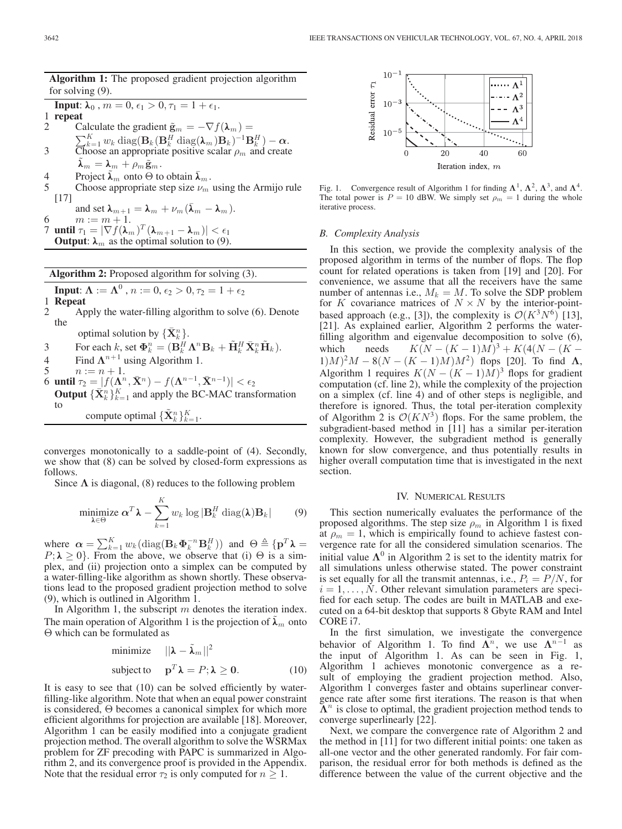**Algorithm 1:** The proposed gradient projection algorithm for solving (9). **Input:**  $\lambda_0$ ,  $m = 0$ ,  $\epsilon_1 > 0$ ,  $\tau_1 = 1 + \epsilon_1$ . 1 **repeat** Calculate the gradient  $\tilde{\mathbf{g}}_m = -\nabla f(\mathbf{\lambda}_m) =$ 

- $\sum_{k=1}^{K} w_k \text{diag}(\mathbf{B}_k (\mathbf{B}_k^H \text{diag}(\mathbf{\lambda}_m) \mathbf{B}_k)^{-1} \mathbf{B}_k^H) \alpha.$ <br>
Choose an appropriate positive scalar  $\rho_m$  and create  $\lambda_m = \lambda_m + \rho_m \tilde{\mathbf{g}}_m$ .
- 4 Project  $\lambda_m$  onto  $\Theta$  to obtain  $\lambda_m$ .
- 5 Choose appropriate step size  $\nu_m$  using the Armijo rule [17]

and set  $\lambda_{m+1} = \lambda_m + \nu_m (\bar{\lambda}_m - \lambda_m)$ . 6  $m := m + 1$ .  $\overline{7}$  **until**  $\tau_1 = |\nabla f(\lambda_m)|^T (\lambda_{m+1} - \lambda_m) | < \epsilon_1$ <br> **Output:** λ<sub>*m*</sub> as the optimal solution to (9).

**Algorithm 2:** Proposed algorithm for solving (3). **Input:**  $\Lambda := \Lambda^0$  ,  $n := 0$ ,  $\epsilon_2 > 0$ ,  $\tau_2 = 1 + \epsilon_2$ <br>**Repeat** 1 **Repeat** 2 Apply the water-filling algorithm to solve (6). Denote the optimal solution by  $\{\bar{\mathbf{X}}_k^n\}$ .<br>For each  $k$  as  $\mathbf{\Phi}^n - (\mathbf{P}^H)$ 3 For each k, set  $\Phi_k^n = (\mathbf{B}_k^H \mathbf{\Lambda}^n \mathbf{B}_k + \tilde{\mathbf{H}}_k^H \bar{\mathbf{X}}_k^n \tilde{\mathbf{H}}_k).$ 4 Find  $\Lambda^{n+1}$  using Algorithm 1.<br>5  $n := n + 1$ .  $n := n + 1.$ 6 **until**  $\tau_2 = [f(\Lambda^n, \bar{X}^n) - f(\Lambda^{n-1}, \bar{X}^{n-1})] < \epsilon_2$ <br>Qutput  $f(\bar{X}^n, K)$  and apply the BC-MAC trans **Output**  ${\{\bar{\mathbf{X}}_k^n\}_{k=1}^K}$  and apply the BC-MAC transformation to compute optimal  ${\{\tilde{\mathbf{X}}_k^n\}_{k=1}^K}$ .

converges monotonically to a saddle-point of (4). Secondly, we show that (8) can be solved by closed-form expressions as follows.

Since  $\Lambda$  is diagonal, (8) reduces to the following problem

$$
\underset{\boldsymbol{\lambda} \in \Theta}{\text{minimize}} \; \boldsymbol{\alpha}^T \boldsymbol{\lambda} - \sum_{k=1}^K w_k \log |\mathbf{B}_k^H \operatorname{diag}(\boldsymbol{\lambda}) \mathbf{B}_k| \qquad (9)
$$

where  $\alpha = \sum_{k=1}^{K} w_k (\text{diag}(\mathbf{B}_k \boldsymbol{\Phi}_k^{-n} \mathbf{B}_k^H))$  and  $\Theta \triangleq {\{\mathbf{p}^T \boldsymbol{\lambda} = P; \boldsymbol{\lambda} \geq 0\}}$ . From the above, we observe that (i)  $\Theta$  is a simplex, and (ii) projection onto a simplex can be computed by a water-filling-like algorithm as shown shortly. These observations lead to the proposed gradient projection method to solve (9), which is outlined in Algorithm 1.

In Algorithm 1, the subscript  $m$  denotes the iteration index. The main operation of Algorithm 1 is the projection of  $\lambda_m$  onto Θ which can be formulated as

minimize 
$$
||\lambda - \tilde{\lambda}_m||^2
$$
  
subject to  $\mathbf{p}^T \lambda = P; \lambda \ge 0.$  (10)

It is easy to see that (10) can be solved efficiently by waterfilling-like algorithm. Note that when an equal power constraint is considered, Θ becomes a canonical simplex for which more efficient algorithms for projection are available [18]. Moreover, Algorithm 1 can be easily modified into a conjugate gradient projection method. The overall algorithm to solve the WSRMax problem for ZF precoding with PAPC is summarized in Algorithm 2, and its convergence proof is provided in the Appendix. Note that the residual error  $\tau_2$  is only computed for  $n \geq 1$ .



Fig. 1. Convergence result of Algorithm 1 for finding  $\Lambda^1$ ,  $\Lambda^2$ ,  $\Lambda^3$ , and  $\Lambda^4$ . The total power is  $P = 10$  dBW. We simply set  $\rho_m = 1$  during the whole iterative process.

### *B. Complexity Analysis*

In this section, we provide the complexity analysis of the proposed algorithm in terms of the number of flops. The flop count for related operations is taken from [19] and [20]. For convenience, we assume that all the receivers have the same number of antennas i.e.,  $M_k = M$ . To solve the SDP problem for K covariance matrices of  $N \times N$  by the interior-pointbased approach (e.g., [3]), the complexity is  $\mathcal{O}(K^3N^6)$  [13], [21]. As explained earlier, Algorithm 2 performs the waterfilling algorithm and eigenvalue decomposition to solve (6), which needs  $K(N - (K - 1)M)^3 + K(4(N - (K (1)M)^2M - 8(N - (K-1)M)M^2$  flops [20]. To find  $\Lambda$ , Algorithm 1 requires  $K(N - (K - 1)M)^3$  flops for gradient computation (cf. line 2), while the complexity of the projection on a simplex (cf. line 4) and of other steps is negligible, and therefore is ignored. Thus, the total per-iteration complexity of Algorithm 2 is  $\mathcal{O}(KN^3)$  flops. For the same problem, the subgradient-based method in [11] has a similar per-iteration complexity. However, the subgradient method is generally known for slow convergence, and thus potentially results in higher overall computation time that is investigated in the next section.

#### IV. NUMERICAL RESULTS

This section numerically evaluates the performance of the proposed algorithms. The step size  $\rho_m$  in Algorithm 1 is fixed at  $\rho_m = 1$ , which is empirically found to achieve fastest convergence rate for all the considered simulation scenarios. The initial value  $\Lambda^0$  in Algorithm 2 is set to the identity matrix for all simulations unless otherwise stated. The power constraint is set equally for all the transmit antennas, i.e.,  $P_i = P/N$ , for  $i = 1, \ldots, N$ . Other relevant simulation parameters are specified for each setup. The codes are built in MATLAB and executed on a 64-bit desktop that supports 8 Gbyte RAM and Intel CORE i7.

In the first simulation, we investigate the convergence behavior of Algorithm 1. To find  $\Lambda^n$ , we use  $\Lambda^{n-1}$  as the input of Algorithm 1. As can be seen in Fig. 1, Algorithm 1 achieves monotonic convergence as a result of employing the gradient projection method. Also, Algorithm 1 converges faster and obtains superlinear convergence rate after some first iterations. The reason is that when  $\Lambda^n$  is close to optimal, the gradient projection method tends to converge superlinearly [22].

Next, we compare the convergence rate of Algorithm 2 and the method in [11] for two different initial points: one taken as all-one vector and the other generated randomly. For fair comparison, the residual error for both methods is defined as the difference between the value of the current objective and the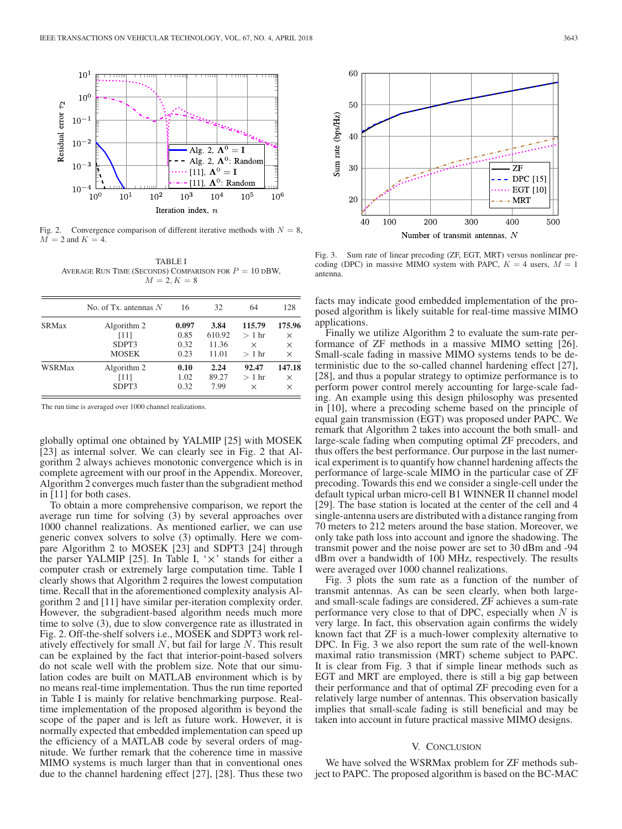

Fig. 2. Convergence comparison of different iterative methods with  $N = 8$ ,  $M = 2$  and  $K = 4$ .

TABLE I AVERAGE RUN TIME (SECONDS) COMPARISON FOR  $P = 10$  DBW,  $M = 2, K = 8$ 

|               | No. of Tx. antennas $N$ | 16    | 32     | 64      | 128      |
|---------------|-------------------------|-------|--------|---------|----------|
| <b>SRMax</b>  | Algorithm 2             | 0.097 | 3.84   | 115.79  | 175.96   |
|               | [11]                    | 0.85  | 610.92 | $>1$ hr | $\times$ |
|               | SDPT3                   | 0.32  | 11.36  | ×       | $\times$ |
|               | <b>MOSEK</b>            | 0.23  | 11.01  | $>1$ hr | $\times$ |
| <b>WSRMax</b> | Algorithm 2             | 0.10  | 2.24   | 92.47   | 147.18   |
|               | [11]                    | 1.02  | 89.27  | $>1$ hr | $\times$ |
|               | SDPT3                   | 0.32  | 7.99   | ×       | $\times$ |

The run time is averaged over 1000 channel realizations.

globally optimal one obtained by YALMIP [25] with MOSEK [23] as internal solver. We can clearly see in Fig. 2 that Algorithm 2 always achieves monotonic convergence which is in complete agreement with our proof in the Appendix. Moreover, Algorithm 2 converges much faster than the subgradient method in [11] for both cases.

To obtain a more comprehensive comparison, we report the average run time for solving (3) by several approaches over 1000 channel realizations. As mentioned earlier, we can use generic convex solvers to solve (3) optimally. Here we compare Algorithm 2 to MOSEK [23] and SDPT3 [24] through the parser YALMIP [25]. In Table I, '*×*' stands for either a computer crash or extremely large computation time. Table I clearly shows that Algorithm 2 requires the lowest computation time. Recall that in the aforementioned complexity analysis Algorithm 2 and [11] have similar per-iteration complexity order. However, the subgradient-based algorithm needs much more time to solve (3), due to slow convergence rate as illustrated in Fig. 2. Off-the-shelf solvers i.e., MOSEK and SDPT3 work relatively effectively for small  $N$ , but fail for large  $N$ . This result can be explained by the fact that interior-point-based solvers do not scale well with the problem size. Note that our simulation codes are built on MATLAB environment which is by no means real-time implementation. Thus the run time reported in Table I is mainly for relative benchmarking purpose. Realtime implementation of the proposed algorithm is beyond the scope of the paper and is left as future work. However, it is normally expected that embedded implementation can speed up the efficiency of a MATLAB code by several orders of magnitude. We further remark that the coherence time in massive MIMO systems is much larger than that in conventional ones due to the channel hardening effect [27], [28]. Thus these two



Fig. 3. Sum rate of linear precoding (ZF, EGT, MRT) versus nonlinear precoding (DPC) in massive MIMO system with PAPC,  $K = 4$  users,  $M = 1$ antenna.

facts may indicate good embedded implementation of the proposed algorithm is likely suitable for real-time massive MIMO applications.

Finally we utilize Algorithm 2 to evaluate the sum-rate performance of ZF methods in a massive MIMO setting [26]. Small-scale fading in massive MIMO systems tends to be deterministic due to the so-called channel hardening effect [27], [28], and thus a popular strategy to optimize performance is to perform power control merely accounting for large-scale fading. An example using this design philosophy was presented in [10], where a precoding scheme based on the principle of equal gain transmission (EGT) was proposed under PAPC. We remark that Algorithm 2 takes into account the both small- and large-scale fading when computing optimal ZF precoders, and thus offers the best performance. Our purpose in the last numerical experiment is to quantify how channel hardening affects the performance of large-scale MIMO in the particular case of ZF precoding. Towards this end we consider a single-cell under the default typical urban micro-cell B1 WINNER II channel model [29]. The base station is located at the center of the cell and 4 single-antenna users are distributed with a distance ranging from 70 meters to 212 meters around the base station. Moreover, we only take path loss into account and ignore the shadowing. The transmit power and the noise power are set to 30 dBm and -94 dBm over a bandwidth of 100 MHz, respectively. The results were averaged over 1000 channel realizations.

Fig. 3 plots the sum rate as a function of the number of transmit antennas. As can be seen clearly, when both largeand small-scale fadings are considered, ZF achieves a sum-rate performance very close to that of DPC, especially when  $N$  is very large. In fact, this observation again confirms the widely known fact that ZF is a much-lower complexity alternative to DPC. In Fig. 3 we also report the sum rate of the well-known maximal ratio transmission (MRT) scheme subject to PAPC. It is clear from Fig. 3 that if simple linear methods such as EGT and MRT are employed, there is still a big gap between their performance and that of optimal ZF precoding even for a relatively large number of antennas. This observation basically implies that small-scale fading is still beneficial and may be taken into account in future practical massive MIMO designs.

### V. CONCLUSION

We have solved the WSRMax problem for ZF methods subject to PAPC. The proposed algorithm is based on the BC-MAC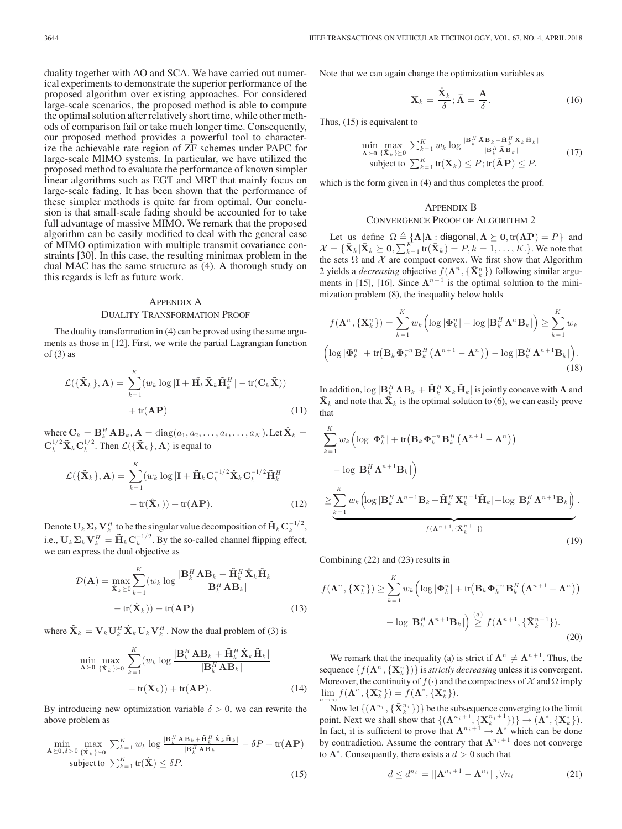duality together with AO and SCA. We have carried out numerical experiments to demonstrate the superior performance of the proposed algorithm over existing approaches. For considered large-scale scenarios, the proposed method is able to compute the optimal solution after relatively short time, while other methods of comparison fail or take much longer time. Consequently, our proposed method provides a powerful tool to characterize the achievable rate region of ZF schemes under PAPC for large-scale MIMO systems. In particular, we have utilized the proposed method to evaluate the performance of known simpler linear algorithms such as EGT and MRT that mainly focus on large-scale fading. It has been shown that the performance of these simpler methods is quite far from optimal. Our conclusion is that small-scale fading should be accounted for to take full advantage of massive MIMO. We remark that the proposed algorithm can be easily modified to deal with the general case of MIMO optimization with multiple transmit covariance constraints [30]. In this case, the resulting minimax problem in the dual MAC has the same structure as (4). A thorough study on this regards is left as future work.

# APPENDIX A DUALITY TRANSFORMATION PROOF

The duality transformation in (4) can be proved using the same arguments as those in [12]. First, we write the partial Lagrangian function of  $(3)$  as

$$
\mathcal{L}(\{\tilde{\mathbf{X}}_k\}, \mathbf{A}) = \sum_{k=1}^K (w_k \log |\mathbf{I} + \tilde{\mathbf{H}_k} \tilde{\mathbf{X}}_k \tilde{\mathbf{H}}_k^H| - \text{tr}(\mathbf{C}_k \tilde{\mathbf{X}})) + \text{tr}(\mathbf{A} \mathbf{P})
$$
\n(11)

where  $\mathbf{C}_k = \mathbf{B}_k^H \mathbf{A} \mathbf{B}_k$ ,  $\mathbf{A} = \text{diag}(a_1, a_2, \dots, a_i, \dots, a_N)$ . Let  $\hat{\mathbf{X}}_k = \mathbf{G}^{1/2} \tilde{\mathbf{x}} \mathbf{G}^{1/2}$ . Then  $\mathcal{L}(\tilde{\mathbf{X}})$ ,  $\mathbf{A}$ ) is expected.  $\mathbf{C}_k^{1/2} \tilde{\mathbf{X}}_k \mathbf{C}_k^{1/2}$ . Then  $\mathcal{L}(\{\tilde{\mathbf{X}}_k\}, \mathbf{A})$  is equal to

$$
\mathcal{L}(\{\tilde{\mathbf{X}}_k\}, \mathbf{A}) = \sum_{k=1}^K (w_k \log |\mathbf{I} + \tilde{\mathbf{H}}_k \mathbf{C}_k^{-1/2} \hat{\mathbf{X}}_k \mathbf{C}_k^{-1/2} \tilde{\mathbf{H}}_k^H|
$$

$$
- tr(\hat{\mathbf{X}}_k)) + tr(\mathbf{A} \mathbf{P}).
$$
(12)

Denote  $\mathbf{U}_k \Sigma_k \mathbf{V}_k^H$  to be the singular value decomposition of  $\tilde{\mathbf{H}}_k \mathbf{C}_k^{-1/2}$ , i.e.,  $\mathbf{U}_k \mathbf{\Sigma}_k \mathbf{V}_k^H = \tilde{\mathbf{H}}_k \mathbf{C}_k^{-1/2}$ . By the so-called channel flipping effect, we can express the dual objective as

$$
\mathcal{D}(\mathbf{A}) = \max_{\dot{\mathbf{X}}_k \succeq 0} \sum_{k=1}^K (w_k \log \frac{|\mathbf{B}_k^H \mathbf{A} \mathbf{B}_k + \tilde{\mathbf{H}}_k^H \dot{\mathbf{X}}_k \tilde{\mathbf{H}}_k|}{|\mathbf{B}_k^H \mathbf{A} \mathbf{B}_k|} - \text{tr}(\dot{\mathbf{X}}_k)) + \text{tr}(\mathbf{A} \mathbf{P})
$$
\n(13)

where  $\hat{\mathbf{X}}_k = \mathbf{V}_k \mathbf{U}_k^H \dot{\mathbf{X}}_k \mathbf{U}_k \mathbf{V}_k^H$ . Now the dual problem of (3) is

$$
\min_{\mathbf{A}\succeq\mathbf{0}}\max_{\{\dot{\mathbf{X}}_k\}\succeq\mathbf{0}}\sum_{k=1}^K (w_k \log \frac{|\mathbf{B}_k^H \mathbf{A} \mathbf{B}_k + \tilde{\mathbf{H}}_k^H \dot{\mathbf{X}}_k \tilde{\mathbf{H}}_k|}{|\mathbf{B}_k^H \mathbf{A} \mathbf{B}_k|}\n- tr(\dot{\mathbf{X}}_k)) + tr(\mathbf{A}\mathbf{P}).
$$
\n(14)

By introducing new optimization variable  $\delta > 0$ , we can rewrite the above problem as

$$
\min_{\mathbf{A}\succeq\mathbf{0},\delta>0} \max_{\{\dot{\mathbf{X}}_k\}\succeq\mathbf{0}} \sum_{k=1}^K w_k \log \frac{|\mathbf{B}_k^H \mathbf{A} \mathbf{B}_k + \tilde{\mathbf{H}}_k^H \dot{\mathbf{X}}_k \tilde{\mathbf{H}}_k|}{|\mathbf{B}_k^H \mathbf{A} \mathbf{B}_k|} - \delta P + \text{tr}(\mathbf{A} \mathbf{P})
$$
\n
$$
\text{subject to } \sum_{k=1}^K \text{tr}(\dot{\mathbf{X}}) \le \delta P. \tag{15}
$$

Note that we can again change the optimization variables as

$$
\bar{\mathbf{X}}_k = \frac{\dot{\mathbf{X}}_k}{\delta}; \bar{\mathbf{A}} = \frac{\mathbf{A}}{\delta}.
$$
 (16)

Thus, (15) is equivalent to

$$
\min_{\bar{\mathbf{A}} \succeq \mathbf{0}} \max_{\{\bar{\mathbf{X}}_k\} \succeq \mathbf{0}} \sum_{k=1}^K w_k \log \frac{|\mathbf{B}_k^H \bar{\mathbf{A}} \mathbf{B}_k + \tilde{\mathbf{H}}_k^H \bar{\mathbf{X}}_k \tilde{\mathbf{H}}_k|}{|\mathbf{B}_k^H \bar{\mathbf{A}} \mathbf{B}_k|}
$$
\nsubject to 
$$
\sum_{k=1}^K \text{tr}(\bar{\mathbf{X}}_k) \le P; \text{tr}(\bar{\mathbf{A}} \mathbf{P}) \le P.
$$
\n(17)

which is the form given in (4) and thus completes the proof.

## APPENDIX B CONVERGENCE PROOF OF ALGORITHM 2

Let us define  $\Omega \triangleq {\mathbf{\Lambda} | \mathbf{\Lambda} : \mathbf{diagonal}, \mathbf{\Lambda} \succeq \mathbf{0}, \text{tr}(\mathbf{\Lambda} \mathbf{P}) = P}$  and  $-\sqrt{\mathbf{\Sigma} \cdot \mathbf{K}} \succeq \mathbf{0} \sum_{k=1}^{K} \mathbf{tr}(\mathbf{\overline{X}}) = P_k - 1$   $K \downarrow W_k$  where that  $\mathcal{X} = {\{\bar{\mathbf{X}}_k | \bar{\mathbf{X}}_k \geq \mathbf{0}, \sum_{k=1}^K \mathbf{r}(\bar{\mathbf{X}}_k) = P, k = 1, \dots, K.\}}$ . We note that the sets  $\Omega$  and  $\mathcal X$  are compact convex. We first show that Algorithm 2 yields a *decreasing* objective  $f(\Lambda^n, {\{\bar{\bf{X}}_k^n\}})$  following similar argu-<br>ments in [15] [16] Since  $\Lambda^{n+1}$  is the optimal solution to the miniments in [15], [16]. Since  $\Lambda^{n+1}$  is the optimal solution to the minimization problem (8), the inequality below holds

$$
f(\mathbf{\Lambda}^{n}, \{\bar{\mathbf{X}}_{k}^{n}\}) = \sum_{k=1}^{K} w_{k} \left( \log |\mathbf{\Phi}_{k}^{n}| - \log |\mathbf{B}_{k}^{H} \mathbf{\Lambda}^{n} \mathbf{B}_{k}| \right) \geq \sum_{k=1}^{K} w_{k}
$$

$$
\left( \log |\mathbf{\Phi}_{k}^{n}| + \text{tr}(\mathbf{B}_{k} \mathbf{\Phi}_{k}^{-n} \mathbf{B}_{k}^{H} \left( \mathbf{\Lambda}^{n+1} - \mathbf{\Lambda}^{n} \right) \right) - \log |\mathbf{B}_{k}^{H} \mathbf{\Lambda}^{n+1} \mathbf{B}_{k}| \right). \tag{18}
$$

In addition,  $\log |\mathbf{B}_k^H \mathbf{\Lambda} \mathbf{B}_k + \tilde{\mathbf{H}}_k^H \bar{\mathbf{X}}_k \tilde{\mathbf{H}}_k|$  is jointly concave with **Λ** and  $\bar{\mathbf{X}}$  and note that  $\bar{\mathbf{X}}$ , is the optimal solution to (6), we can easily prove  $\bar{\mathbf{X}}_k$  and note that  $\bar{\mathbf{X}}_k$  is the optimal solution to (6), we can easily prove that

$$
\sum_{k=1}^{K} w_k \left( \log |\Phi_k^n| + \text{tr} \left( \mathbf{B}_k \Phi_k^{-n} \mathbf{B}_k^H \left( \mathbf{\Lambda}^{n+1} - \mathbf{\Lambda}^n \right) \right) \right.- \log |\mathbf{B}_k^H \mathbf{\Lambda}^{n+1} \mathbf{B}_k| \right)\n\geq \sum_{k=1}^{K} w_k \left( \log |\mathbf{B}_k^H \mathbf{\Lambda}^{n+1} \mathbf{B}_k + \tilde{\mathbf{H}}_k^H \bar{\mathbf{X}}_k^{n+1} \tilde{\mathbf{H}}_k | - \log |\mathbf{B}_k^H \mathbf{\Lambda}^{n+1} \mathbf{B}_k| \right).f(\mathbf{\Lambda}^{n+1}, \{\bar{\mathbf{X}}_k^{n+1}\})
$$
\n(19)

Combining (22) and (23) results in

$$
f(\mathbf{\Lambda}^n, \{\bar{\mathbf{X}}_k^n\}) \ge \sum_{k=1}^K w_k \left(\log |\mathbf{\Phi}_k^n| + \text{tr}(\mathbf{B}_k \mathbf{\Phi}_k^{-n} \mathbf{B}_k^H \left(\mathbf{\Lambda}^{n+1} - \mathbf{\Lambda}^n\right)\right)
$$

$$
- \log |\mathbf{B}_k^H \mathbf{\Lambda}^{n+1} \mathbf{B}_k| \right) \stackrel{(a)}{\ge} f(\mathbf{\Lambda}^{n+1}, \{\bar{\mathbf{X}}_k^{n+1}\}). \tag{20}
$$

We remark that the inequality (a) is strict if  $\Lambda^n \neq \Lambda^{n+1}$ . Thus, the unnece  $\{f(\Lambda^n \mid \bar{\mathbf{X}}^n) \}$  is *strictly decreasing* unless it is convergent. sequence  $\{f(\Lambda^n, {\bar{\mathbf{\{X}}}_k^n}\})$  is *strictly decreasing* unless it is convergent.<br>Moreover the continuity of  $f(.)$  and the compactness of  $\mathcal{X}$  and O imply Moreover, the continuity of  $f(\cdot)$  and the compactness of X and  $\Omega$  imply  $\lim_{n\to\infty} f(\mathbf{\Lambda}^n, {\{\bar{\mathbf{X}}}_k^n\}}) = f(\mathbf{\Lambda}^*, {\{\bar{\mathbf{X}}}_k^*\}}).$ 

Now let  $\{(\mathbf{\Lambda}^{n_i}, {\{\bar{\mathbf{X}}}_k^{n_i}\})\}$  be the subsequence converging to the limit<br>int. Next we shall show that  $f(\mathbf{\Lambda}^{n_i+1}, {\vec{\mathbf{Y}}^{n_i+1}})$ point. Next we shall show that  $\{(\mathbf{\Lambda}^{n_i+1}, {\{\mathbf{\bar{X}}_k}^{n_i+1}})\}\rightarrow (\mathbf{\Lambda}^*, {\{\mathbf{\bar{X}}_k}^*\}})$ .<br>In fact, it is sufficient to prove that  $\mathbf{\Lambda}^{n_i+1}$  and  $\mathbf{\Lambda}^*$  which can be done In fact, it is sufficient to prove that  $\Lambda^{n_i+1} \stackrel{\wedge}{\rightarrow} \Lambda^*$  which can be done<br>by contradiction. Assume the contrary that  $\Lambda^{n_i+1}$  does not converge by contradiction. Assume the contrary that  $\Lambda^{n_i+1}$  does not converge to  $\Lambda^*$ . Consequently, there exists a  $d > 0$  such that

$$
d \leq d^{n_i} = ||\mathbf{\Lambda}^{n_i+1} - \mathbf{\Lambda}^{n_i}||, \forall n_i
$$
 (21)